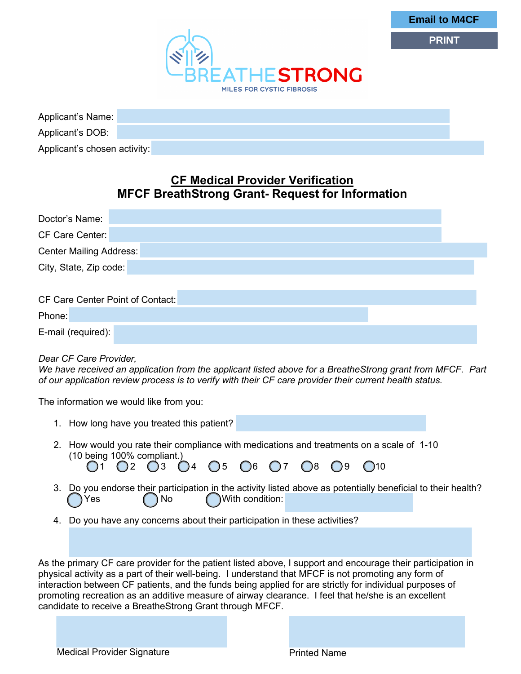

**Email to M4CF**

**PRINT**

| Applicant's Name:            |  |
|------------------------------|--|
| Applicant's DOB:             |  |
| Applicant's chosen activity: |  |

# **CF Medical Provider Verification MFCF BreathStrong Grant- Request for Information**

| Doctor's Name:                   |  |  |  |  |  |  |
|----------------------------------|--|--|--|--|--|--|
| CF Care Center:                  |  |  |  |  |  |  |
| Center Mailing Address:          |  |  |  |  |  |  |
| City, State, Zip code:           |  |  |  |  |  |  |
|                                  |  |  |  |  |  |  |
| CF Care Center Point of Contact: |  |  |  |  |  |  |
| Phone:                           |  |  |  |  |  |  |
| E-mail (required):               |  |  |  |  |  |  |

### *Dear CF Care Provider,*

*We have received an application from the applicant listed above for a BreatheStrong grant from MFCF. Part of our application review process is to verify with their CF care provider their current health status.* 

The information we would like from you:

| 1. How long have you treated this patient?                                                                                                                                                                                                                                                                                                                                                                                                                                                          |
|-----------------------------------------------------------------------------------------------------------------------------------------------------------------------------------------------------------------------------------------------------------------------------------------------------------------------------------------------------------------------------------------------------------------------------------------------------------------------------------------------------|
| 2. How would you rate their compliance with medications and treatments on a scale of 1-10<br>(10 being 100% compliant.)<br>O1 O2 O3 O4 O5 O6 O7 O8 O9 O10                                                                                                                                                                                                                                                                                                                                           |
| 3. Do you endorse their participation in the activity listed above as potentially beneficial to their health?<br>With condition:<br>$\bigcap$ No<br>Yes                                                                                                                                                                                                                                                                                                                                             |
| 4. Do you have any concerns about their participation in these activities?                                                                                                                                                                                                                                                                                                                                                                                                                          |
|                                                                                                                                                                                                                                                                                                                                                                                                                                                                                                     |
| As the primary CF care provider for the patient listed above, I support and encourage their participation in<br>physical activity as a part of their well-being. I understand that MFCF is not promoting any form of<br>interaction between CF patients, and the funds being applied for are strictly for individual purposes of<br>promoting recreation as an additive measure of airway clearance. I feel that he/she is an excellent<br>candidate to receive a BreatheStrong Grant through MFCF. |

Medical Provider Signature **Printed Name**